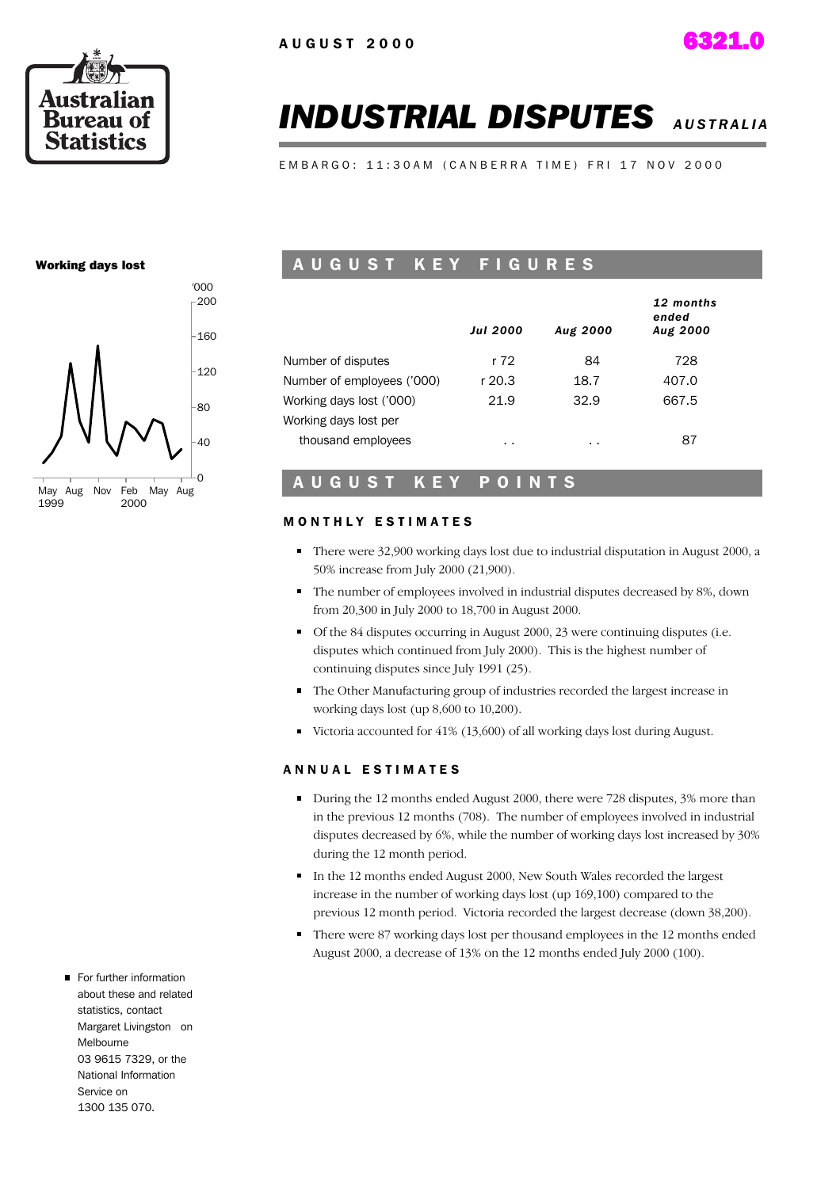

# *INDUSTRIAL DISPUTES AUSTRALIA*

EMBARGO: 11:30AM (CANBERRA TIME) FRI 17 NOV 2000

#### Working days lost



### A U G U S T K E Y F I G U R E S

|                            | <b>Jul 2000</b> | Aug 2000 | 12 months<br>ended<br><b>Aug 2000</b> |
|----------------------------|-----------------|----------|---------------------------------------|
| Number of disputes         | r 72            | 84       | 728                                   |
| Number of employees ('000) | r 20.3          | 18.7     | 407.0                                 |
| Working days lost ('000)   | 21.9            | 32.9     | 667.5                                 |
| Working days lost per      |                 |          |                                       |
| thousand employees         | $\sim$          | . .      | 87                                    |

#### A U G U S T K E Y P O I N T S

#### **MONTHLY ESTIMATES**

- There were 32,900 working days lost due to industrial disputation in August 2000, a 50% increase from July 2000 (21,900).
- The number of employees involved in industrial disputes decreased by 8%, down from 20,300 in July 2000 to 18,700 in August 2000.
- Of the 84 disputes occurring in August 2000, 23 were continuing disputes (i.e. disputes which continued from July 2000). This is the highest number of continuing disputes since July 1991 (25).
- The Other Manufacturing group of industries recorded the largest increase in working days lost (up 8,600 to 10,200).
- Victoria accounted for 41% (13,600) of all working days lost during August.

#### A N N U A L E S T I M A T E S

- During the 12 months ended August 2000, there were 728 disputes, 3% more than in the previous 12 months (708). The number of employees involved in industrial disputes decreased by 6%, while the number of working days lost increased by 30% during the 12 month period.
- In the 12 months ended August 2000, New South Wales recorded the largest increase in the number of working days lost (up 169,100) compared to the previous 12 month period. Victoria recorded the largest decrease (down 38,200).
- There were 87 working days lost per thousand employees in the 12 months ended August 2000, a decrease of 13% on the 12 months ended July 2000 (100).
- For further information about these and related statistics, contact Margaret Livingston on Melbourne 03 9615 7329, or the National Information Service on 1300 135 070.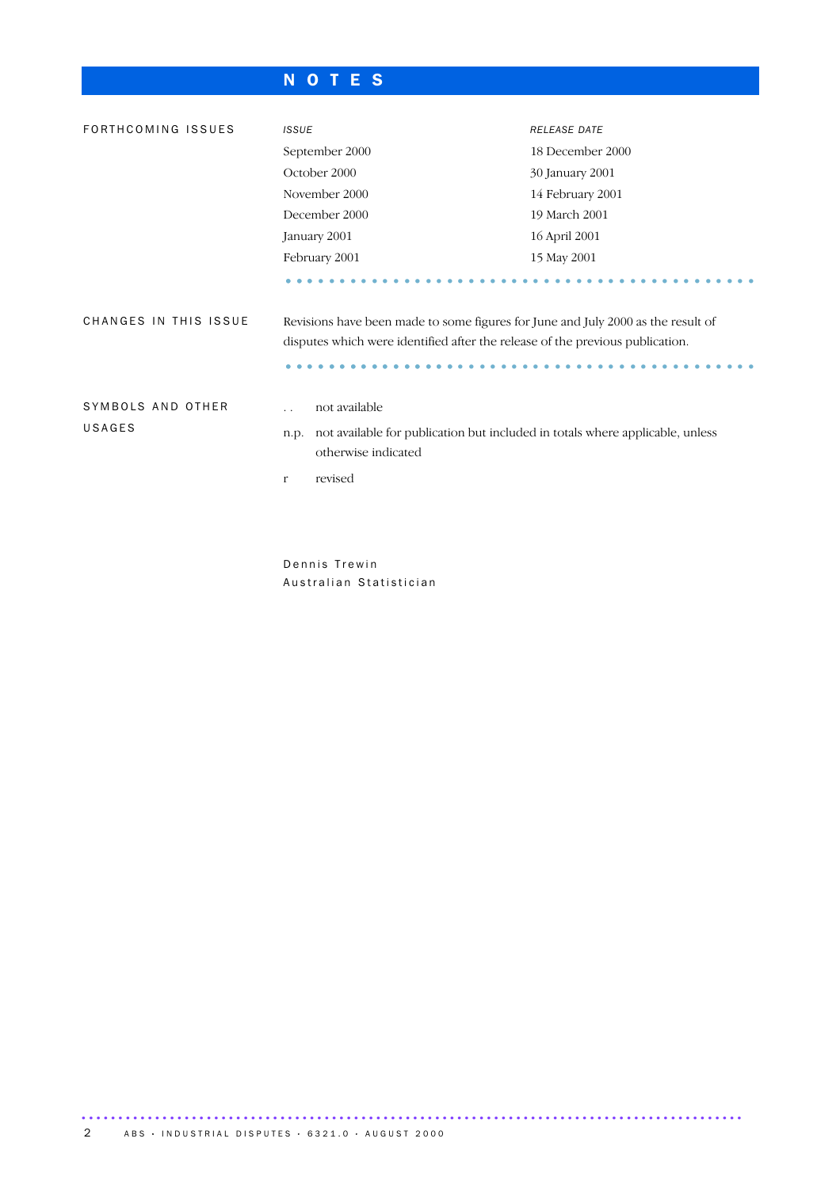## N O T E S

| FORTHCOMING ISSUES          | <b>ISSUE</b>                                                                                                                                                                     | <b>RELEASE DATE</b> |  |  |
|-----------------------------|----------------------------------------------------------------------------------------------------------------------------------------------------------------------------------|---------------------|--|--|
|                             | September 2000                                                                                                                                                                   | 18 December 2000    |  |  |
|                             | October 2000                                                                                                                                                                     | 30 January 2001     |  |  |
|                             | November 2000                                                                                                                                                                    | 14 February 2001    |  |  |
|                             | December 2000                                                                                                                                                                    | 19 March 2001       |  |  |
|                             | January 2001                                                                                                                                                                     | 16 April 2001       |  |  |
|                             | February 2001                                                                                                                                                                    | 15 May 2001         |  |  |
|                             |                                                                                                                                                                                  |                     |  |  |
| CHANGES IN THIS ISSUE       | Revisions have been made to some figures for June and July 2000 as the result of<br>disputes which were identified after the release of the previous publication.                |                     |  |  |
|                             |                                                                                                                                                                                  |                     |  |  |
| SYMBOLS AND OTHER<br>USAGES | not available<br>$\ddot{\phantom{0}}$<br>not available for publication but included in totals where applicable, unless<br>n.p.<br>otherwise indicated<br>revised<br>$\mathbf{r}$ |                     |  |  |

Dennis Trewin Australian Statistician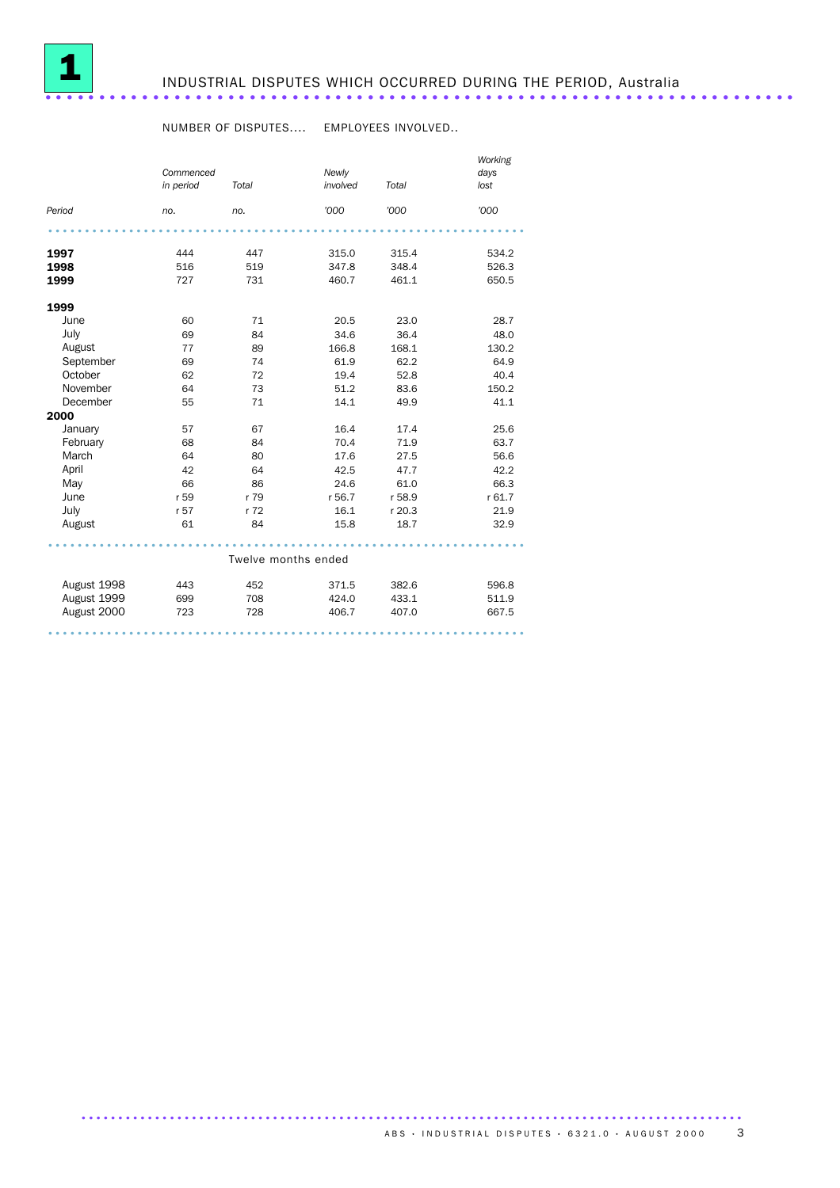

#### NUMBER OF DISPUTES.... EMPLOYEES INVOLVED..

|             |                        |                     |                   |        | Working      |
|-------------|------------------------|---------------------|-------------------|--------|--------------|
|             | Commenced<br>in period | Total               | Newly<br>involved | Total  | days<br>lost |
| Period      | no.                    | no.                 | '000              | '000   | '000         |
|             |                        |                     |                   |        |              |
| 1997        | 444                    | 447                 | 315.0             | 315.4  | 534.2        |
| 1998        | 516                    | 519                 | 347.8             | 348.4  | 526.3        |
| 1999        | 727                    | 731                 | 460.7             | 461.1  | 650.5        |
| 1999        |                        |                     |                   |        |              |
| June        | 60                     | 71                  | 20.5              | 23.0   | 28.7         |
| July        | 69                     | 84                  | 34.6              | 36.4   | 48.0         |
| August      | 77                     | 89                  | 166.8             | 168.1  | 130.2        |
| September   | 69                     | 74                  | 61.9              | 62.2   | 64.9         |
| October     | 62                     | 72                  | 19.4              | 52.8   | 40.4         |
| November    | 64                     | 73                  | 51.2              | 83.6   | 150.2        |
| December    | 55                     | 71                  | 14.1              | 49.9   | 41.1         |
| 2000        |                        |                     |                   |        |              |
| January     | 57                     | 67                  | 16.4              | 17.4   | 25.6         |
| February    | 68                     | 84                  | 70.4              | 71.9   | 63.7         |
| March       | 64                     | 80                  | 17.6              | 27.5   | 56.6         |
| April       | 42                     | 64                  | 42.5              | 47.7   | 42.2         |
| May         | 66                     | 86                  | 24.6              | 61.0   | 66.3         |
| June        | r 59                   | r 79                | r 56.7            | r 58.9 | r 61.7       |
| July        | r 57                   | r 72                | 16.1              | r 20.3 | 21.9         |
| August      | 61                     | 84                  | 15.8              | 18.7   | 32.9         |
|             |                        |                     |                   |        |              |
|             |                        | Twelve months ended |                   |        |              |
| August 1998 | 443                    | 452                 | 371.5             | 382.6  | 596.8        |
| August 1999 | 699                    | 708                 | 424.0             | 433.1  | 511.9        |
| August 2000 | 723                    | 728                 | 406.7             | 407.0  | 667.5        |
|             |                        |                     |                   |        |              |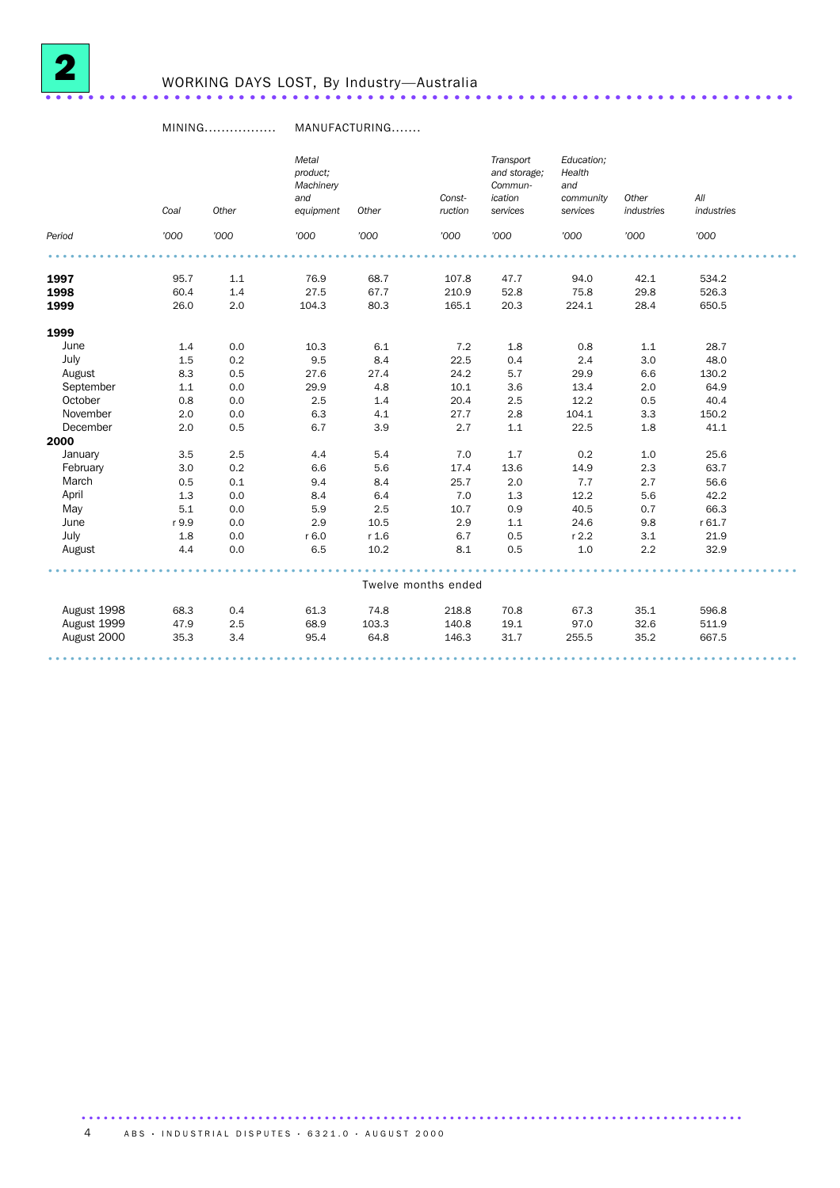

#### MINING................. MANUFACTURING.......

|             | Coal  | Other | Metal<br>product;<br>Machinery<br>and<br>equipment | Other | Const-<br>ruction   | Transport<br>and storage;<br>Commun-<br>ication<br>services | Education;<br>Health<br>and<br>community<br>services | Other<br>industries | All<br>industries |  |
|-------------|-------|-------|----------------------------------------------------|-------|---------------------|-------------------------------------------------------------|------------------------------------------------------|---------------------|-------------------|--|
| Period      | '000  | '000  | '000                                               | '000  | '000                | '000                                                        | '000                                                 | '000                | '000              |  |
|             |       |       |                                                    |       |                     |                                                             |                                                      |                     |                   |  |
| 1997        | 95.7  | 1.1   | 76.9                                               | 68.7  | 107.8               | 47.7                                                        | 94.0                                                 | 42.1                | 534.2             |  |
| 1998        | 60.4  | 1.4   | 27.5                                               | 67.7  | 210.9               | 52.8                                                        | 75.8                                                 | 29.8                | 526.3             |  |
| 1999        | 26.0  | 2.0   | 104.3                                              | 80.3  | 165.1               | 20.3                                                        | 224.1                                                | 28.4                | 650.5             |  |
| 1999        |       |       |                                                    |       |                     |                                                             |                                                      |                     |                   |  |
| June        | 1.4   | 0.0   | 10.3                                               | 6.1   | 7.2                 | 1.8                                                         | 0.8                                                  | 1.1                 | 28.7              |  |
| July        | 1.5   | 0.2   | 9.5                                                | 8.4   | 22.5                | 0.4                                                         | 2.4                                                  | 3.0                 | 48.0              |  |
| August      | 8.3   | 0.5   | 27.6                                               | 27.4  | 24.2                | 5.7                                                         | 29.9                                                 | 6.6                 | 130.2             |  |
| September   | 1.1   | 0.0   | 29.9                                               | 4.8   | 10.1                | 3.6                                                         | 13.4                                                 | 2.0                 | 64.9              |  |
| October     | 0.8   | 0.0   | 2.5                                                | 1.4   | 20.4                | 2.5                                                         | 12.2                                                 | 0.5                 | 40.4              |  |
| November    | 2.0   | 0.0   | 6.3                                                | 4.1   | 27.7                | 2.8                                                         | 104.1                                                | 3.3                 | 150.2             |  |
| December    | 2.0   | 0.5   | 6.7                                                | 3.9   | 2.7                 | 1.1                                                         | 22.5                                                 | 1.8                 | 41.1              |  |
| 2000        |       |       |                                                    |       |                     |                                                             |                                                      |                     |                   |  |
| January     | 3.5   | 2.5   | 4.4                                                | 5.4   | 7.0                 | 1.7                                                         | 0.2                                                  | 1.0                 | 25.6              |  |
| February    | 3.0   | 0.2   | 6.6                                                | 5.6   | 17.4                | 13.6                                                        | 14.9                                                 | 2.3                 | 63.7              |  |
| March       | 0.5   | 0.1   | 9.4                                                | 8.4   | 25.7                | 2.0                                                         | 7.7                                                  | 2.7                 | 56.6              |  |
| April       | 1.3   | 0.0   | 8.4                                                | 6.4   | 7.0                 | 1.3                                                         | 12.2                                                 | 5.6                 | 42.2              |  |
| May         | 5.1   | 0.0   | 5.9                                                | 2.5   | 10.7                | 0.9                                                         | 40.5                                                 | 0.7                 | 66.3              |  |
| June        | r 9.9 | 0.0   | 2.9                                                | 10.5  | 2.9                 | 1.1                                                         | 24.6                                                 | 9.8                 | r 61.7            |  |
| July        | 1.8   | 0.0   | r 6.0                                              | r 1.6 | 6.7                 | 0.5                                                         | $r$ 2.2                                              | 3.1                 | 21.9              |  |
| August      | 4.4   | 0.0   | 6.5                                                | 10.2  | 8.1                 | 0.5                                                         | 1.0                                                  | 2.2                 | 32.9              |  |
|             |       |       |                                                    |       |                     |                                                             |                                                      |                     |                   |  |
|             |       |       |                                                    |       | Twelve months ended |                                                             |                                                      |                     |                   |  |
| August 1998 | 68.3  | 0.4   | 61.3                                               | 74.8  | 218.8               | 70.8                                                        | 67.3                                                 | 35.1                | 596.8             |  |
| August 1999 | 47.9  | 2.5   | 68.9                                               | 103.3 | 140.8               | 19.1                                                        | 97.0                                                 | 32.6                | 511.9             |  |
| August 2000 | 35.3  | 3.4   | 95.4                                               | 64.8  | 146.3               | 31.7                                                        | 255.5                                                | 35.2                | 667.5             |  |
|             |       |       |                                                    |       |                     |                                                             |                                                      |                     |                   |  |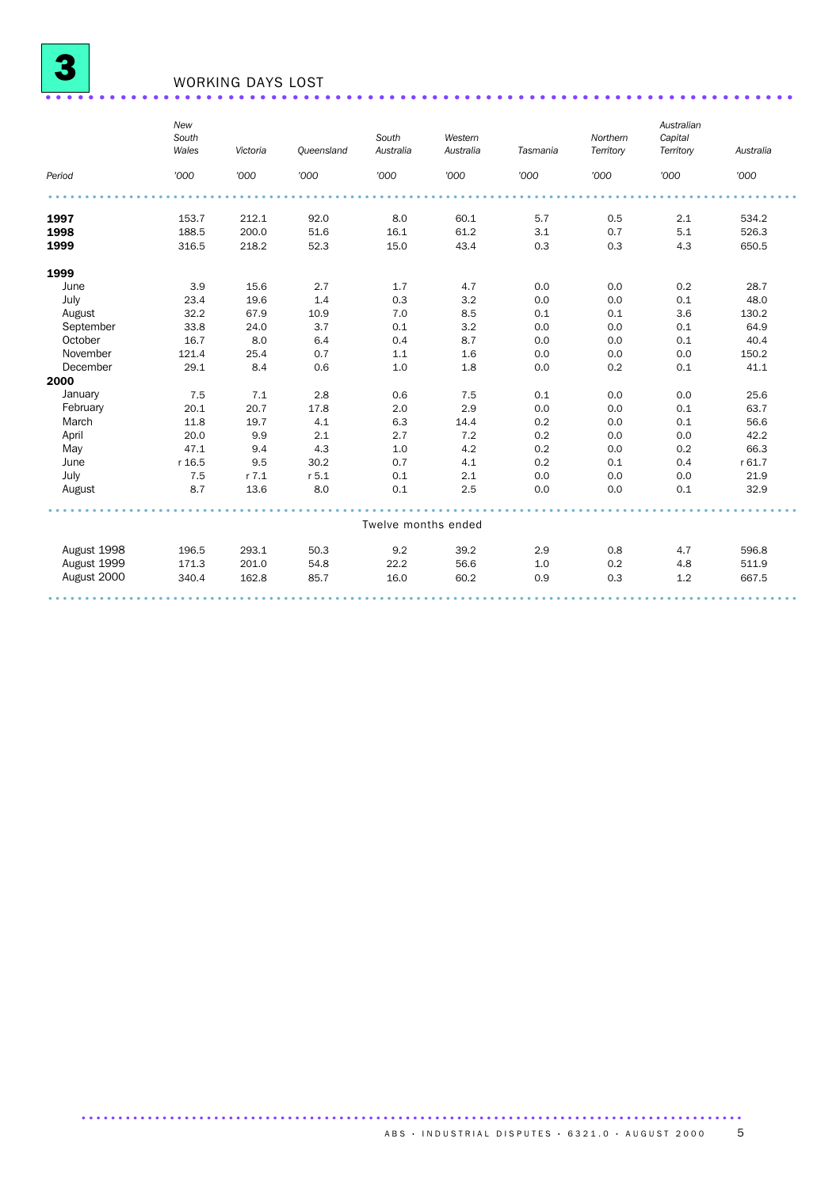

# WORKING DAYS LOST ......................................................................

|             | New<br>South<br>Wales | Victoria  | Queensland | South<br>Australia  | Western<br>Australia | Tasmania | Northern<br>Territory | Australian<br>Capital<br>Territory | Australia |
|-------------|-----------------------|-----------|------------|---------------------|----------------------|----------|-----------------------|------------------------------------|-----------|
| Period      | '000                  | '000      | '000       | '000                | '000                 | '000     | '000                  | '000                               | '000      |
|             |                       |           |            |                     |                      |          |                       |                                    |           |
| 1997        | 153.7                 | 212.1     | 92.0       | 8.0                 | 60.1                 | 5.7      | 0.5                   | 2.1                                | 534.2     |
| 1998        | 188.5                 | 200.0     | 51.6       | 16.1                | 61.2                 | 3.1      | 0.7                   | 5.1                                | 526.3     |
| 1999        | 316.5                 | 218.2     | 52.3       | 15.0                | 43.4                 | 0.3      | 0.3                   | 4.3                                | 650.5     |
| 1999        |                       |           |            |                     |                      |          |                       |                                    |           |
| June        | 3.9                   | 15.6      | 2.7        | 1.7                 | 4.7                  | 0.0      | 0.0                   | 0.2                                | 28.7      |
| July        | 23.4                  | 19.6      | 1.4        | 0.3                 | 3.2                  | 0.0      | 0.0                   | 0.1                                | 48.0      |
| August      | 32.2                  | 67.9      | 10.9       | 7.0                 | 8.5                  | 0.1      | 0.1                   | 3.6                                | 130.2     |
| September   | 33.8                  | 24.0      | 3.7        | 0.1                 | 3.2                  | 0.0      | 0.0                   | 0.1                                | 64.9      |
| October     | 16.7                  | 8.0       | 6.4        | 0.4                 | 8.7                  | 0.0      | 0.0                   | 0.1                                | 40.4      |
| November    | 121.4                 | 25.4      | 0.7        | 1.1                 | 1.6                  | 0.0      | 0.0                   | 0.0                                | 150.2     |
| December    | 29.1                  | 8.4       | 0.6        | 1.0                 | 1.8                  | 0.0      | 0.2                   | 0.1                                | 41.1      |
| 2000        |                       |           |            |                     |                      |          |                       |                                    |           |
| January     | 7.5                   | 7.1       | 2.8        | 0.6                 | 7.5                  | 0.1      | 0.0                   | 0.0                                | 25.6      |
| February    | 20.1                  | 20.7      | 17.8       | 2.0                 | 2.9                  | 0.0      | 0.0                   | 0.1                                | 63.7      |
| March       | 11.8                  | 19.7      | 4.1        | 6.3                 | 14.4                 | 0.2      | 0.0                   | 0.1                                | 56.6      |
| April       | 20.0                  | 9.9       | 2.1        | 2.7                 | 7.2                  | 0.2      | 0.0                   | 0.0                                | 42.2      |
| May         | 47.1                  | 9.4       | 4.3        | 1.0                 | 4.2                  | 0.2      | 0.0                   | 0.2                                | 66.3      |
| June        | r 16.5                | 9.5       | 30.2       | 0.7                 | 4.1                  | 0.2      | 0.1                   | 0.4                                | r 61.7    |
| July        | 7.5                   | $r$ $7.1$ | $r$ 5.1    | 0.1                 | 2.1                  | 0.0      | 0.0                   | 0.0                                | 21.9      |
| August      | 8.7                   | 13.6      | 8.0        | 0.1                 | 2.5                  | 0.0      | 0.0                   | 0.1                                | 32.9      |
|             |                       |           |            |                     |                      |          |                       |                                    |           |
|             |                       |           |            | Twelve months ended |                      |          |                       |                                    |           |
| August 1998 | 196.5                 | 293.1     | 50.3       | 9.2                 | 39.2                 | 2.9      | 0.8                   | 4.7                                | 596.8     |
| August 1999 | 171.3                 | 201.0     | 54.8       | 22.2                | 56.6                 | 1.0      | 0.2                   | 4.8                                | 511.9     |
| August 2000 | 340.4                 | 162.8     | 85.7       | 16.0                | 60.2                 | 0.9      | 0.3                   | 1.2                                | 667.5     |
|             |                       |           |            |                     |                      |          |                       |                                    |           |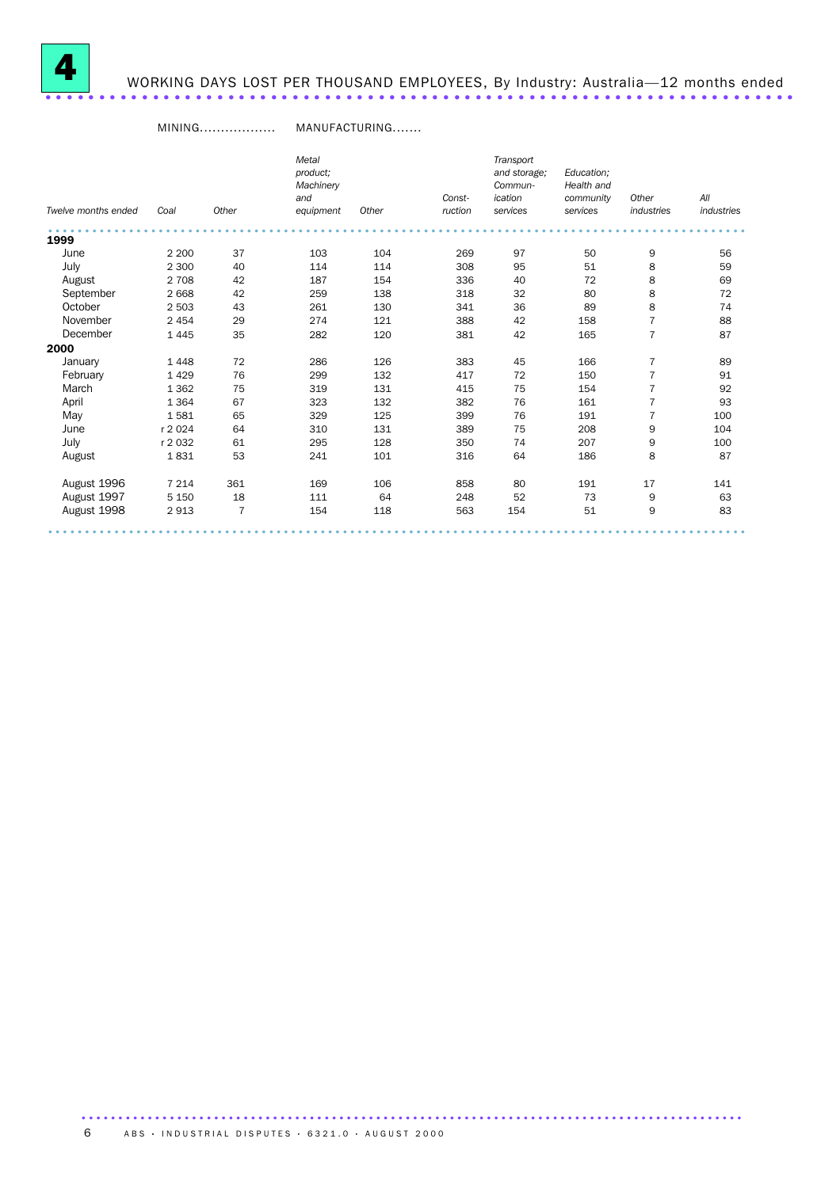

# WORKING DAYS LOST PER THOUSAND EMPLOYEES, By Industry: Australia—12 months ended ......................................................................

#### MINING.................. MANUFACTURING.......

|                     |         |       | Metal     |       |         | Transport    |            |                |            |
|---------------------|---------|-------|-----------|-------|---------|--------------|------------|----------------|------------|
|                     |         |       | product;  |       |         | and storage; | Education: |                |            |
|                     |         |       | Machinery |       |         | Commun-      | Health and |                |            |
|                     |         |       | and       |       | Const-  | ication      | community  | Other          | All        |
| Twelve months ended | Coal    | Other | equipment | Other | ruction | services     | services   | industries     | industries |
| 1999                |         |       |           |       |         |              |            |                |            |
| June                | 2 2 0 0 | 37    | 103       | 104   | 269     | 97           | 50         | 9              | 56         |
| July                | 2 3 0 0 | 40    | 114       | 114   | 308     | 95           | 51         | 8              | 59         |
| August              | 2 7 0 8 | 42    | 187       | 154   | 336     | 40           | 72         | 8              | 69         |
| September           | 2668    | 42    | 259       | 138   | 318     | 32           | 80         | 8              | 72         |
| October             | 2 5 0 3 | 43    | 261       | 130   | 341     | 36           | 89         | 8              | 74         |
| November            | 2 4 5 4 | 29    | 274       | 121   | 388     | 42           | 158        | $\overline{7}$ | 88         |
| December            | 1445    | 35    | 282       | 120   | 381     | 42           | 165        | $\overline{7}$ | 87         |
| 2000                |         |       |           |       |         |              |            |                |            |
| January             | 1448    | 72    | 286       | 126   | 383     | 45           | 166        | 7              | 89         |
| February            | 1429    | 76    | 299       | 132   | 417     | 72           | 150        | $\overline{7}$ | 91         |
| March               | 1 3 6 2 | 75    | 319       | 131   | 415     | 75           | 154        | $\overline{7}$ | 92         |
| April               | 1 3 6 4 | 67    | 323       | 132   | 382     | 76           | 161        | $\overline{7}$ | 93         |
| May                 | 1581    | 65    | 329       | 125   | 399     | 76           | 191        | $\overline{7}$ | 100        |
| June                | r 2024  | 64    | 310       | 131   | 389     | 75           | 208        | 9              | 104        |
| July                | r 2032  | 61    | 295       | 128   | 350     | 74           | 207        | 9              | 100        |
| August              | 1831    | 53    | 241       | 101   | 316     | 64           | 186        | 8              | 87         |
| August 1996         | 7 2 1 4 | 361   | 169       | 106   | 858     | 80           | 191        | 17             | 141        |
| August 1997         | 5 1 5 0 | 18    | 111       | 64    | 248     | 52           | 73         | 9              | 63         |
| August 1998         | 2913    | 7     | 154       | 118   | 563     | 154          | 51         | 9              | 83         |
|                     |         |       |           |       |         |              |            |                |            |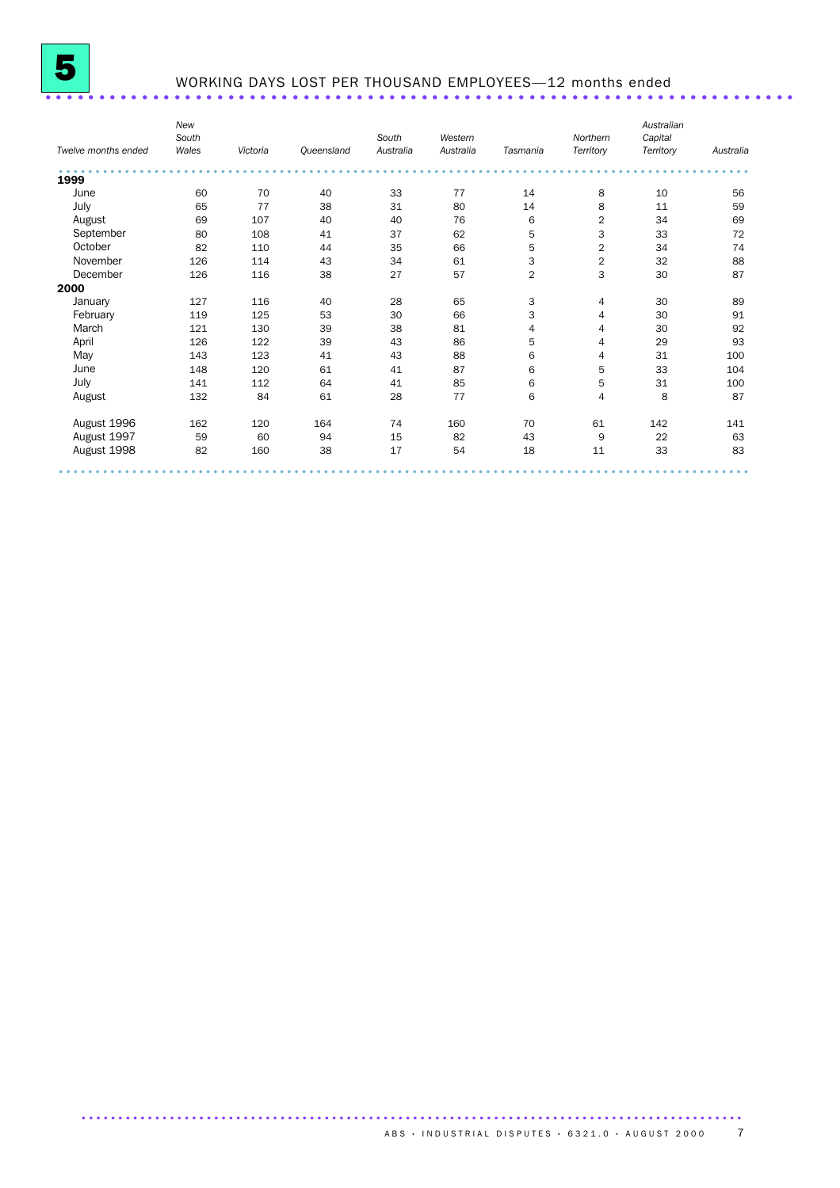

# WORKING DAYS LOST PER THOUSAND EMPLOYEES—12 months ended ......................................................................

| Twelve months ended | <b>New</b><br>South<br>Wales | Victoria | Queensland | South<br>Australia | Western<br>Australia | Tasmania       | Northern<br>Territory | Australian<br>Capital<br>Territory | Australia |
|---------------------|------------------------------|----------|------------|--------------------|----------------------|----------------|-----------------------|------------------------------------|-----------|
| 1999                |                              |          |            |                    |                      |                |                       |                                    |           |
| June                | 60                           | 70       | 40         | 33                 | 77                   | 14             | 8                     | 10                                 | 56        |
| July                | 65                           | 77       | 38         | 31                 | 80                   | 14             | 8                     | 11                                 | 59        |
| August              | 69                           | 107      | 40         | 40                 | 76                   | 6              | 2                     | 34                                 | 69        |
| September           | 80                           | 108      | 41         | 37                 | 62                   | 5              | 3                     | 33                                 | 72        |
| October             | 82                           | 110      | 44         | 35                 | 66                   | 5              | $\overline{2}$        | 34                                 | 74        |
| November            | 126                          | 114      | 43         | 34                 | 61                   | 3              | $\sqrt{2}$            | 32                                 | 88        |
| December            | 126                          | 116      | 38         | 27                 | 57                   | $\overline{2}$ | 3                     | 30                                 | 87        |
| 2000                |                              |          |            |                    |                      |                |                       |                                    |           |
| January             | 127                          | 116      | 40         | 28                 | 65                   | 3              | 4                     | 30                                 | 89        |
| February            | 119                          | 125      | 53         | 30                 | 66                   | 3              | 4                     | 30                                 | 91        |
| March               | 121                          | 130      | 39         | 38                 | 81                   | 4              | 4                     | 30                                 | 92        |
| April               | 126                          | 122      | 39         | 43                 | 86                   | 5              | 4                     | 29                                 | 93        |
| May                 | 143                          | 123      | 41         | 43                 | 88                   | 6              | 4                     | 31                                 | 100       |
| June                | 148                          | 120      | 61         | 41                 | 87                   | 6              | 5                     | 33                                 | 104       |
| July                | 141                          | 112      | 64         | 41                 | 85                   | 6              | 5                     | 31                                 | 100       |
| August              | 132                          | 84       | 61         | 28                 | 77                   | 6              | 4                     | 8                                  | 87        |
| August 1996         | 162                          | 120      | 164        | 74                 | 160                  | 70             | 61                    | 142                                | 141       |
| August 1997         | 59                           | 60       | 94         | 15                 | 82                   | 43             | 9                     | 22                                 | 63        |
| August 1998         | 82                           | 160      | 38         | 17                 | 54                   | 18             | 11                    | 33                                 | 83        |
|                     |                              |          |            |                    |                      |                |                       |                                    |           |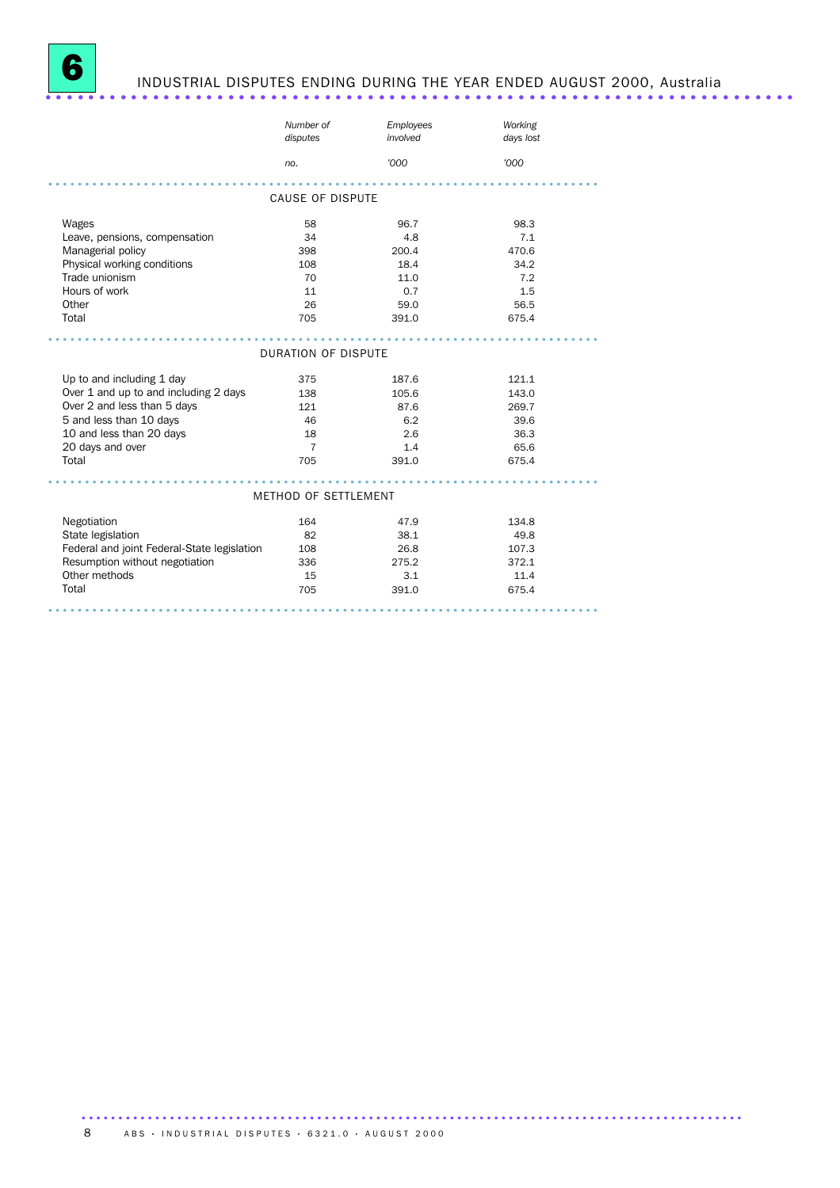

# INDUSTRIAL DISPUTES ENDING DURING THE YEAR ENDED AUGUST 2000, Australia ......................................................................

|                                             | Number of<br>disputes      | Employees<br>involved | Working<br>days lost |
|---------------------------------------------|----------------------------|-----------------------|----------------------|
|                                             | no.                        | '000                  | '000                 |
|                                             |                            |                       |                      |
|                                             | <b>CAUSE OF DISPUTE</b>    |                       |                      |
| Wages                                       | 58                         | 96.7                  | 98.3                 |
| Leave, pensions, compensation               | 34                         | 4.8                   | 7.1                  |
| Managerial policy                           | 398                        | 200.4                 | 470.6                |
| Physical working conditions                 | 108                        | 18.4                  | 34.2                 |
| Trade unionism                              | 70                         | 11.0                  | 7.2                  |
| Hours of work                               | 11                         | 0.7                   | 1.5                  |
| Other                                       | 26                         | 59.0                  | 56.5                 |
| Total                                       | 705                        | 391.0                 | 675.4                |
|                                             |                            |                       |                      |
|                                             | <b>DURATION OF DISPUTE</b> |                       |                      |
| Up to and including 1 day                   | 375                        | 187.6                 | 121.1                |
| Over 1 and up to and including 2 days       | 138                        | 105.6                 | 143.0                |
| Over 2 and less than 5 days                 | 121                        | 87.6                  | 269.7                |
| 5 and less than 10 days                     | 46                         | 6.2                   | 39.6                 |
| 10 and less than 20 days                    | 18                         | 2.6                   | 36.3                 |
| 20 days and over                            | 7                          | 1.4                   | 65.6                 |
| Total                                       | 705                        | 391.0                 | 675.4                |
|                                             |                            |                       |                      |
|                                             | METHOD OF SETTLEMENT       |                       |                      |
| Negotiation                                 | 164                        | 47.9                  | 134.8                |
| State legislation                           | 82                         | 38.1                  | 49.8                 |
| Federal and joint Federal-State legislation | 108                        | 26.8                  | 107.3                |
| Resumption without negotiation              | 336                        | 275.2                 | 372.1                |
| Other methods                               | 15                         | 3.1                   | 11.4                 |
| Total                                       | 705                        | 391.0                 | 675.4                |
|                                             |                            |                       |                      |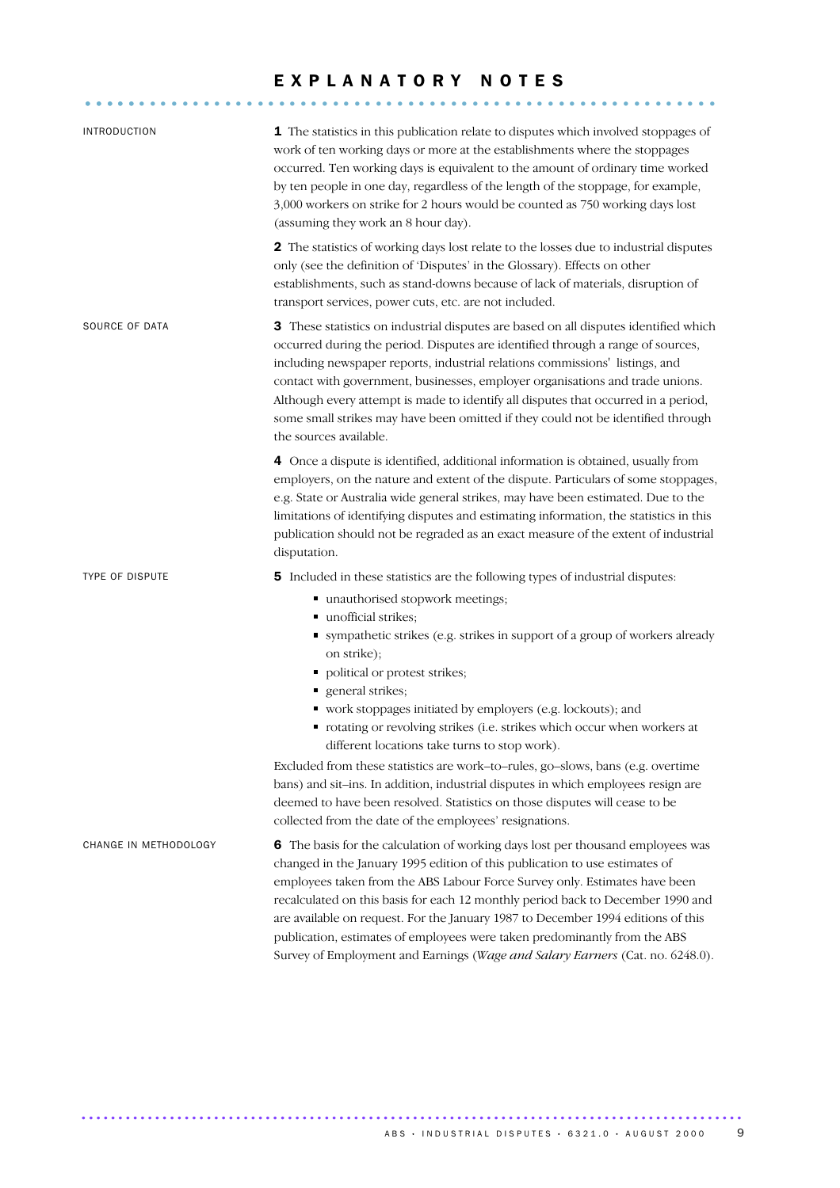### EXPLANATORY NOTES

........................................................... .....

| <b>INTRODUCTION</b>    | 1 The statistics in this publication relate to disputes which involved stoppages of<br>work of ten working days or more at the establishments where the stoppages<br>occurred. Ten working days is equivalent to the amount of ordinary time worked<br>by ten people in one day, regardless of the length of the stoppage, for example,<br>3,000 workers on strike for 2 hours would be counted as 750 working days lost<br>(assuming they work an 8 hour day).                                                                                                                                                                                                                                                                                             |
|------------------------|-------------------------------------------------------------------------------------------------------------------------------------------------------------------------------------------------------------------------------------------------------------------------------------------------------------------------------------------------------------------------------------------------------------------------------------------------------------------------------------------------------------------------------------------------------------------------------------------------------------------------------------------------------------------------------------------------------------------------------------------------------------|
|                        | 2 The statistics of working days lost relate to the losses due to industrial disputes<br>only (see the definition of 'Disputes' in the Glossary). Effects on other<br>establishments, such as stand-downs because of lack of materials, disruption of<br>transport services, power cuts, etc. are not included.                                                                                                                                                                                                                                                                                                                                                                                                                                             |
| SOURCE OF DATA         | 3 These statistics on industrial disputes are based on all disputes identified which<br>occurred during the period. Disputes are identified through a range of sources,<br>including newspaper reports, industrial relations commissions' listings, and<br>contact with government, businesses, employer organisations and trade unions.<br>Although every attempt is made to identify all disputes that occurred in a period,<br>some small strikes may have been omitted if they could not be identified through<br>the sources available.                                                                                                                                                                                                                |
|                        | 4 Once a dispute is identified, additional information is obtained, usually from<br>employers, on the nature and extent of the dispute. Particulars of some stoppages,<br>e.g. State or Australia wide general strikes, may have been estimated. Due to the<br>limitations of identifying disputes and estimating information, the statistics in this<br>publication should not be regraded as an exact measure of the extent of industrial<br>disputation.                                                                                                                                                                                                                                                                                                 |
| <b>TYPE OF DISPUTE</b> | 5 Included in these statistics are the following types of industrial disputes:<br>■ unauthorised stopwork meetings;<br>unofficial strikes;<br>" sympathetic strikes (e.g. strikes in support of a group of workers already<br>on strike);<br>• political or protest strikes;<br>general strikes;<br>Ξ.<br>• work stoppages initiated by employers (e.g. lockouts); and<br>• rotating or revolving strikes (i.e. strikes which occur when workers at<br>different locations take turns to stop work).<br>Excluded from these statistics are work-to-rules, go-slows, bans (e.g. overtime<br>bans) and sit-ins. In addition, industrial disputes in which employees resign are<br>deemed to have been resolved. Statistics on those disputes will cease to be |
| CHANGE IN METHODOLOGY  | collected from the date of the employees' resignations.<br>6 The basis for the calculation of working days lost per thousand employees was<br>changed in the January 1995 edition of this publication to use estimates of<br>employees taken from the ABS Labour Force Survey only. Estimates have been<br>recalculated on this basis for each 12 monthly period back to December 1990 and<br>are available on request. For the January 1987 to December 1994 editions of this<br>publication, estimates of employees were taken predominantly from the ABS<br>Survey of Employment and Earnings (Wage and Salary Earners (Cat. no. 6248.0).                                                                                                                |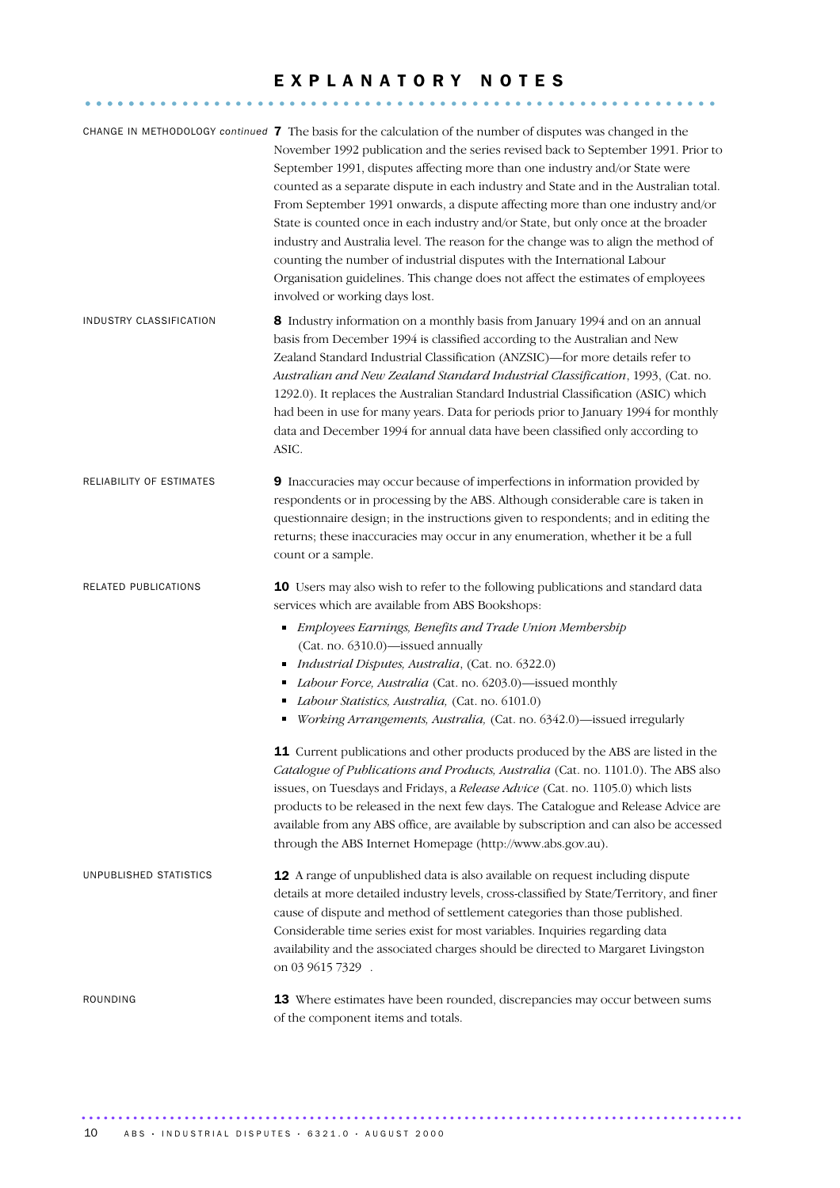### E X P L A N A T O R Y N O T E S

........................................................... .....

|                          | CHANGE IN METHODOLOGY continued 7 The basis for the calculation of the number of disputes was changed in the<br>November 1992 publication and the series revised back to September 1991. Prior to<br>September 1991, disputes affecting more than one industry and/or State were<br>counted as a separate dispute in each industry and State and in the Australian total.<br>From September 1991 onwards, a dispute affecting more than one industry and/or<br>State is counted once in each industry and/or State, but only once at the broader<br>industry and Australia level. The reason for the change was to align the method of<br>counting the number of industrial disputes with the International Labour<br>Organisation guidelines. This change does not affect the estimates of employees<br>involved or working days lost. |
|--------------------------|-----------------------------------------------------------------------------------------------------------------------------------------------------------------------------------------------------------------------------------------------------------------------------------------------------------------------------------------------------------------------------------------------------------------------------------------------------------------------------------------------------------------------------------------------------------------------------------------------------------------------------------------------------------------------------------------------------------------------------------------------------------------------------------------------------------------------------------------|
| INDUSTRY CLASSIFICATION  | 8 Industry information on a monthly basis from January 1994 and on an annual<br>basis from December 1994 is classified according to the Australian and New<br>Zealand Standard Industrial Classification (ANZSIC)-for more details refer to<br>Australian and New Zealand Standard Industrial Classification, 1993, (Cat. no.<br>1292.0). It replaces the Australian Standard Industrial Classification (ASIC) which<br>had been in use for many years. Data for periods prior to January 1994 for monthly<br>data and December 1994 for annual data have been classified only according to<br>ASIC.                                                                                                                                                                                                                                    |
| RELIABILITY OF ESTIMATES | 9 Inaccuracies may occur because of imperfections in information provided by<br>respondents or in processing by the ABS. Although considerable care is taken in<br>questionnaire design; in the instructions given to respondents; and in editing the<br>returns; these inaccuracies may occur in any enumeration, whether it be a full<br>count or a sample.                                                                                                                                                                                                                                                                                                                                                                                                                                                                           |
| RELATED PUBLICATIONS     | <b>10</b> Users may also wish to refer to the following publications and standard data<br>services which are available from ABS Bookshops:<br>Employees Earnings, Benefits and Trade Union Membership<br>Ξ<br>(Cat. no. 6310.0)-issued annually<br>Industrial Disputes, Australia, (Cat. no. 6322.0)<br>п<br>Labour Force, Australia (Cat. no. 6203.0)-issued monthly<br>Labour Statistics, Australia, (Cat. no. 6101.0)<br>Working Arrangements, Australia, (Cat. no. 6342.0)-issued irregularly                                                                                                                                                                                                                                                                                                                                       |
|                          | 11 Current publications and other products produced by the ABS are listed in the<br>Catalogue of Publications and Products, Australia (Cat. no. 1101.0). The ABS also<br>issues, on Tuesdays and Fridays, a Release Advice (Cat. no. 1105.0) which lists<br>products to be released in the next few days. The Catalogue and Release Advice are<br>available from any ABS office, are available by subscription and can also be accessed<br>through the ABS Internet Homepage (http://www.abs.gov.au).                                                                                                                                                                                                                                                                                                                                   |
| UNPUBLISHED STATISTICS   | 12 A range of unpublished data is also available on request including dispute<br>details at more detailed industry levels, cross-classified by State/Territory, and finer<br>cause of dispute and method of settlement categories than those published.<br>Considerable time series exist for most variables. Inquiries regarding data<br>availability and the associated charges should be directed to Margaret Livingston<br>on 03 9615 7329 .                                                                                                                                                                                                                                                                                                                                                                                        |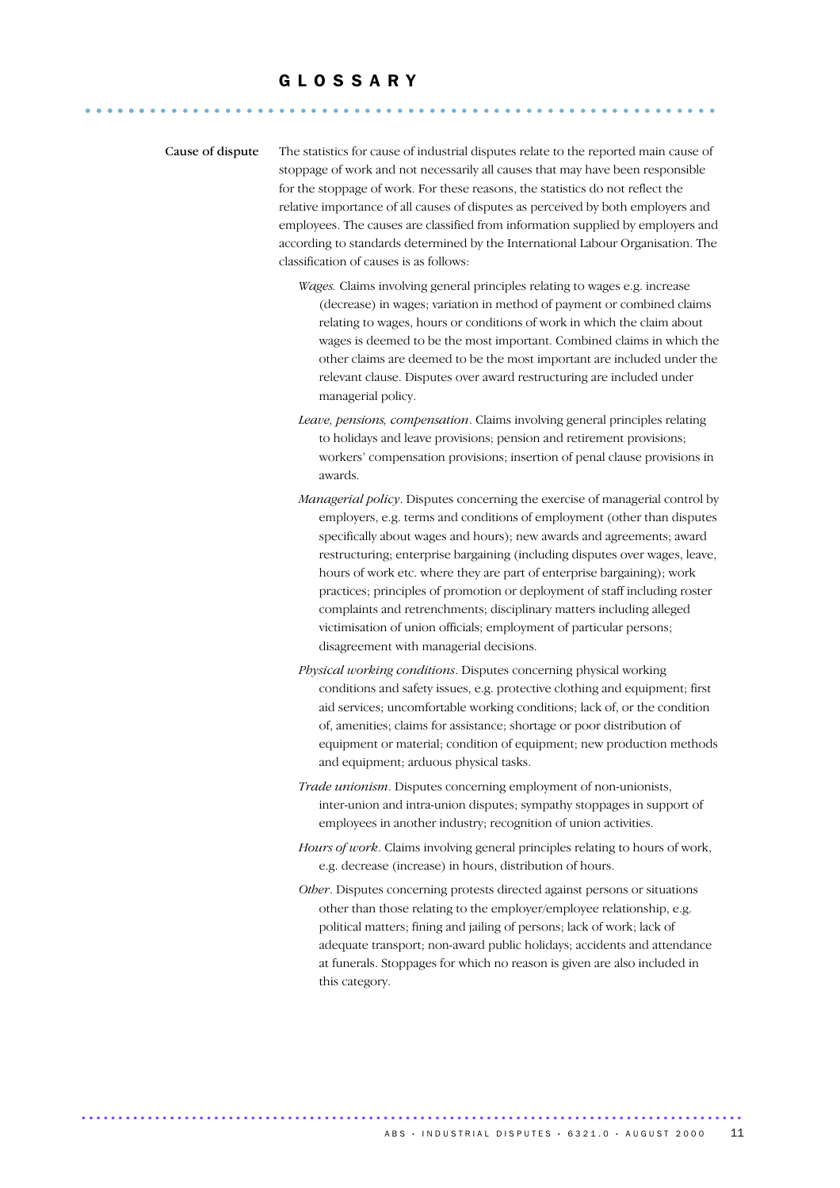## G L O S S A R Y ........................................................... ......

Cause of dispute The statistics for cause of industrial disputes relate to the reported main cause of stoppage of work and not necessarily all causes that may have been responsible for the stoppage of work. For these reasons, the statistics do not reflect the relative importance of all causes of disputes as perceived by both employers and employees. The causes are classified from information supplied by employers and according to standards determined by the International Labour Organisation. The classification of causes is as follows:

- *Wages.* Claims involving general principles relating to wages e.g. increase (decrease) in wages; variation in method of payment or combined claims relating to wages, hours or conditions of work in which the claim about wages is deemed to be the most important. Combined claims in which the other claims are deemed to be the most important are included under the relevant clause. Disputes over award restructuring are included under managerial policy.
- *Leave, pensions, compensation*. Claims involving general principles relating to holidays and leave provisions; pension and retirement provisions; workers' compensation provisions; insertion of penal clause provisions in awards.
- *Managerial policy*. Disputes concerning the exercise of managerial control by employers, e.g. terms and conditions of employment (other than disputes specifically about wages and hours); new awards and agreements; award restructuring; enterprise bargaining (including disputes over wages, leave, hours of work etc. where they are part of enterprise bargaining); work practices; principles of promotion or deployment of staff including roster complaints and retrenchments; disciplinary matters including alleged victimisation of union officials; employment of particular persons; disagreement with managerial decisions.
- *Physical working conditions*. Disputes concerning physical working conditions and safety issues, e.g. protective clothing and equipment; first aid services; uncomfortable working conditions; lack of, or the condition of, amenities; claims for assistance; shortage or poor distribution of equipment or material; condition of equipment; new production methods and equipment; arduous physical tasks.
- *Trade unionism*. Disputes concerning employment of non-unionists, inter-union and intra-union disputes; sympathy stoppages in support of employees in another industry; recognition of union activities.
- *Hours of work*. Claims involving general principles relating to hours of work, e.g. decrease (increase) in hours, distribution of hours.
- *Other*. Disputes concerning protests directed against persons or situations other than those relating to the employer/employee relationship, e.g. political matters; fining and jailing of persons; lack of work; lack of adequate transport; non-award public holidays; accidents and attendance at funerals. Stoppages for which no reason is given are also included in this category.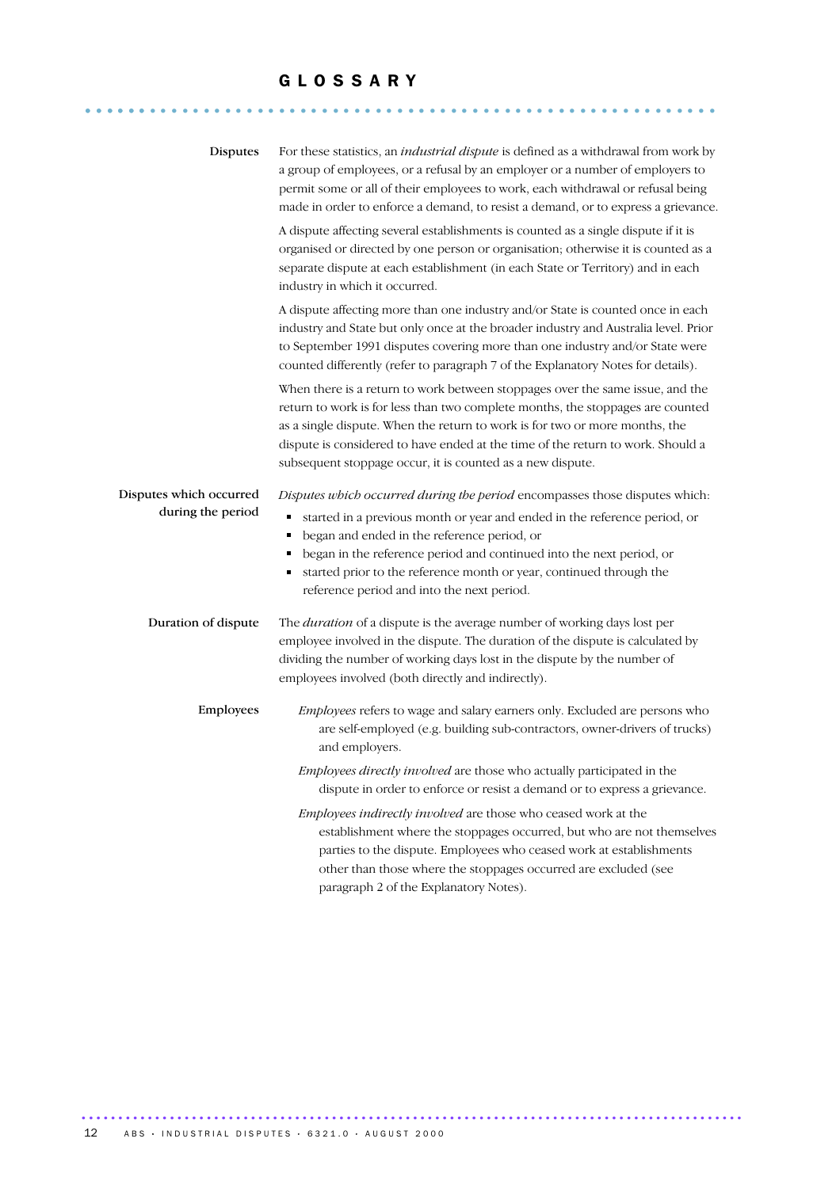#### G L O S S A R Y

........................................................... ......

| Disputes                                     | For these statistics, an <i>industrial dispute</i> is defined as a withdrawal from work by<br>a group of employees, or a refusal by an employer or a number of employers to<br>permit some or all of their employees to work, each withdrawal or refusal being<br>made in order to enforce a demand, to resist a demand, or to express a grievance.                                                                      |
|----------------------------------------------|--------------------------------------------------------------------------------------------------------------------------------------------------------------------------------------------------------------------------------------------------------------------------------------------------------------------------------------------------------------------------------------------------------------------------|
|                                              | A dispute affecting several establishments is counted as a single dispute if it is<br>organised or directed by one person or organisation; otherwise it is counted as a<br>separate dispute at each establishment (in each State or Territory) and in each<br>industry in which it occurred.                                                                                                                             |
|                                              | A dispute affecting more than one industry and/or State is counted once in each<br>industry and State but only once at the broader industry and Australia level. Prior<br>to September 1991 disputes covering more than one industry and/or State were<br>counted differently (refer to paragraph 7 of the Explanatory Notes for details).                                                                               |
|                                              | When there is a return to work between stoppages over the same issue, and the<br>return to work is for less than two complete months, the stoppages are counted<br>as a single dispute. When the return to work is for two or more months, the<br>dispute is considered to have ended at the time of the return to work. Should a<br>subsequent stoppage occur, it is counted as a new dispute.                          |
| Disputes which occurred<br>during the period | Disputes which occurred during the period encompasses those disputes which:<br>started in a previous month or year and ended in the reference period, or<br>Е<br>began and ended in the reference period, or<br>٠<br>began in the reference period and continued into the next period, or<br>п<br>started prior to the reference month or year, continued through the<br>Е<br>reference period and into the next period. |
| Duration of dispute                          | The <i>duration</i> of a dispute is the average number of working days lost per<br>employee involved in the dispute. The duration of the dispute is calculated by<br>dividing the number of working days lost in the dispute by the number of<br>employees involved (both directly and indirectly).                                                                                                                      |
| Employees                                    | Employees refers to wage and salary earners only. Excluded are persons who<br>are self-employed (e.g. building sub-contractors, owner-drivers of trucks)<br>and employers.                                                                                                                                                                                                                                               |
|                                              | Employees directly involved are those who actually participated in the<br>dispute in order to enforce or resist a demand or to express a grievance.                                                                                                                                                                                                                                                                      |
|                                              | Employees indirectly involved are those who ceased work at the<br>establishment where the stoppages occurred, but who are not themselves<br>parties to the dispute. Employees who ceased work at establishments<br>other than those where the stoppages occurred are excluded (see<br>paragraph 2 of the Explanatory Notes).                                                                                             |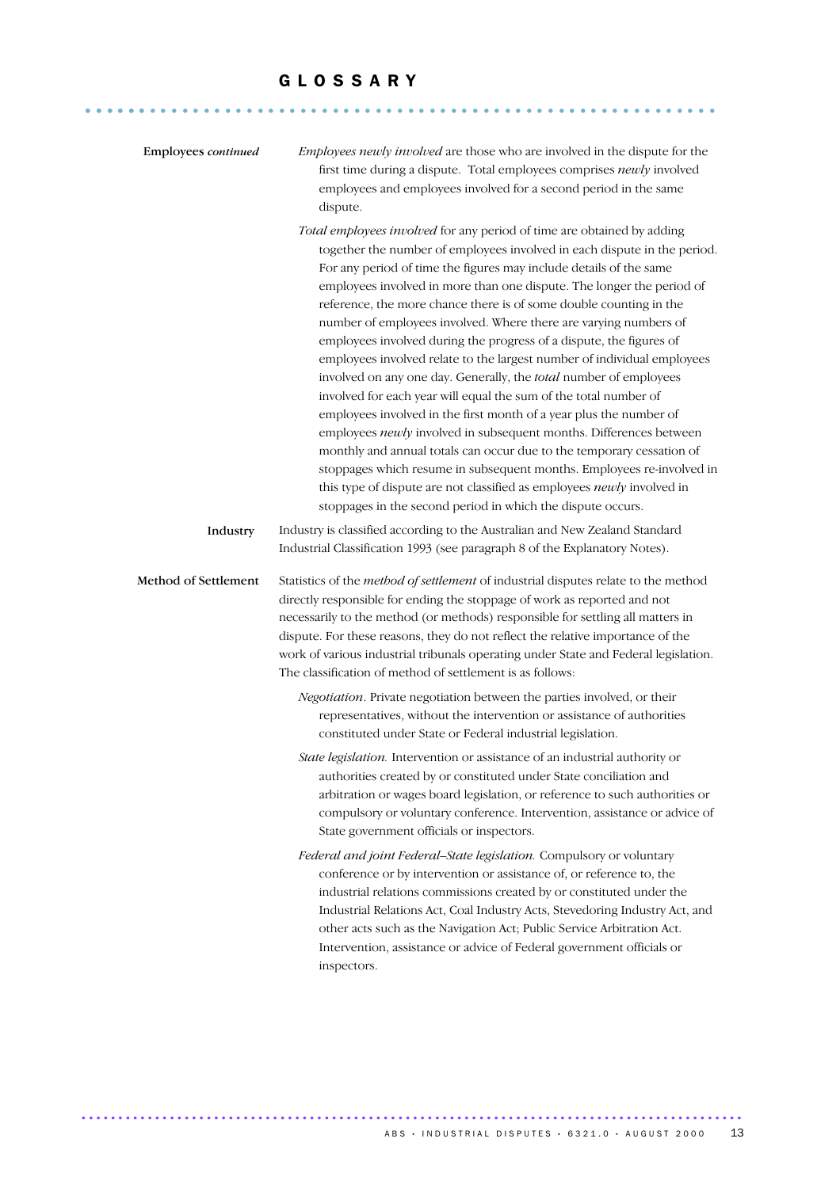#### G L O S S A R Y

........................................................... ......

| Employees continued  | Employees newly involved are those who are involved in the dispute for the<br>first time during a dispute. Total employees comprises newly involved<br>employees and employees involved for a second period in the same<br>dispute.                                                                                                                                                                                                                                                                                                                                                                                                                                                                                                                                                                                                                                                                                                                                                                                                                                                                                                                                           |
|----------------------|-------------------------------------------------------------------------------------------------------------------------------------------------------------------------------------------------------------------------------------------------------------------------------------------------------------------------------------------------------------------------------------------------------------------------------------------------------------------------------------------------------------------------------------------------------------------------------------------------------------------------------------------------------------------------------------------------------------------------------------------------------------------------------------------------------------------------------------------------------------------------------------------------------------------------------------------------------------------------------------------------------------------------------------------------------------------------------------------------------------------------------------------------------------------------------|
|                      | Total employees involved for any period of time are obtained by adding<br>together the number of employees involved in each dispute in the period.<br>For any period of time the figures may include details of the same<br>employees involved in more than one dispute. The longer the period of<br>reference, the more chance there is of some double counting in the<br>number of employees involved. Where there are varying numbers of<br>employees involved during the progress of a dispute, the figures of<br>employees involved relate to the largest number of individual employees<br>involved on any one day. Generally, the total number of employees<br>involved for each year will equal the sum of the total number of<br>employees involved in the first month of a year plus the number of<br>employees newly involved in subsequent months. Differences between<br>monthly and annual totals can occur due to the temporary cessation of<br>stoppages which resume in subsequent months. Employees re-involved in<br>this type of dispute are not classified as employees newly involved in<br>stoppages in the second period in which the dispute occurs. |
| Industry             | Industry is classified according to the Australian and New Zealand Standard<br>Industrial Classification 1993 (see paragraph 8 of the Explanatory Notes).                                                                                                                                                                                                                                                                                                                                                                                                                                                                                                                                                                                                                                                                                                                                                                                                                                                                                                                                                                                                                     |
| Method of Settlement | Statistics of the method of settlement of industrial disputes relate to the method<br>directly responsible for ending the stoppage of work as reported and not<br>necessarily to the method (or methods) responsible for settling all matters in<br>dispute. For these reasons, they do not reflect the relative importance of the<br>work of various industrial tribunals operating under State and Federal legislation.<br>The classification of method of settlement is as follows:                                                                                                                                                                                                                                                                                                                                                                                                                                                                                                                                                                                                                                                                                        |
|                      | Negotiation. Private negotiation between the parties involved, or their<br>representatives, without the intervention or assistance of authorities<br>constituted under State or Federal industrial legislation.                                                                                                                                                                                                                                                                                                                                                                                                                                                                                                                                                                                                                                                                                                                                                                                                                                                                                                                                                               |
|                      | State legislation. Intervention or assistance of an industrial authority or<br>authorities created by or constituted under State conciliation and<br>arbitration or wages board legislation, or reference to such authorities or<br>compulsory or voluntary conference. Intervention, assistance or advice of<br>State government officials or inspectors.                                                                                                                                                                                                                                                                                                                                                                                                                                                                                                                                                                                                                                                                                                                                                                                                                    |
|                      | Federal and joint Federal-State legislation. Compulsory or voluntary<br>conference or by intervention or assistance of, or reference to, the<br>industrial relations commissions created by or constituted under the<br>Industrial Relations Act, Coal Industry Acts, Stevedoring Industry Act, and<br>other acts such as the Navigation Act; Public Service Arbitration Act.<br>Intervention, assistance or advice of Federal government officials or<br>inspectors.                                                                                                                                                                                                                                                                                                                                                                                                                                                                                                                                                                                                                                                                                                         |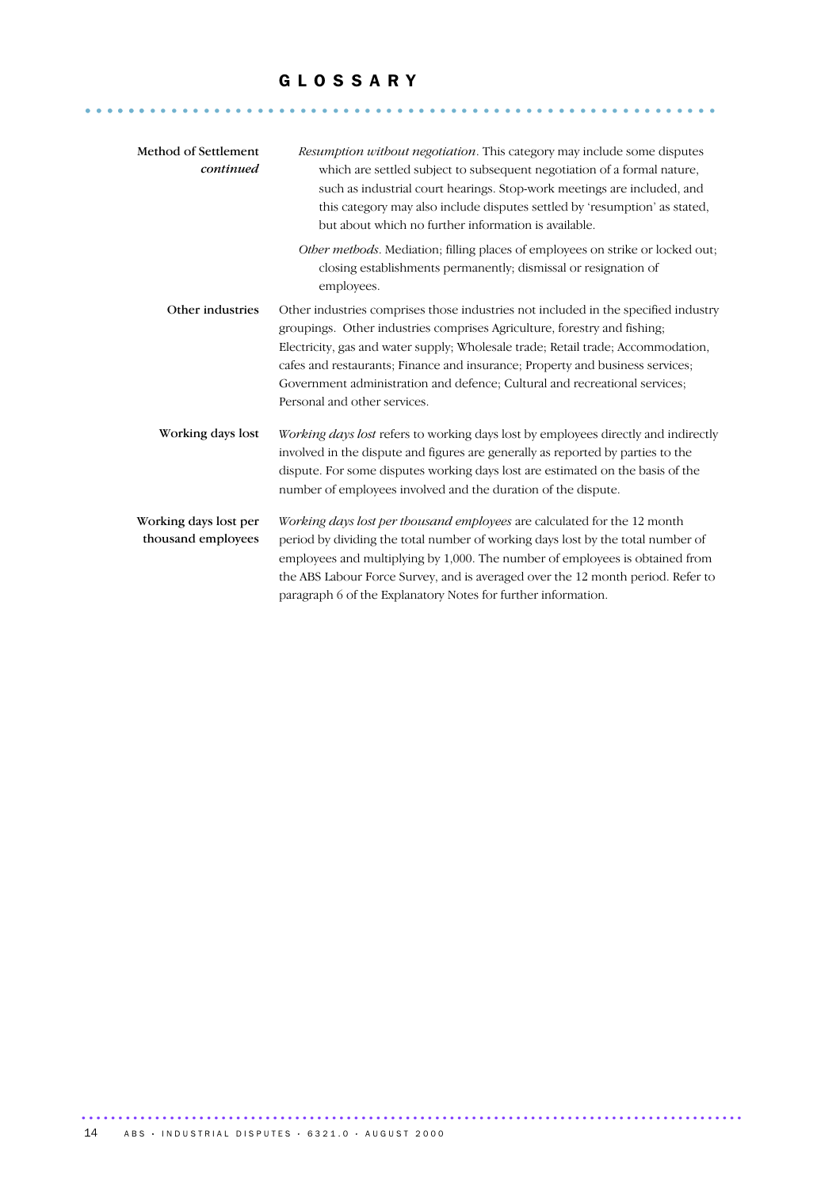#### G L O S S A R Y

........................................................... ......

| Method of Settlement<br>continued           | <i>Resumption without negotiation.</i> This category may include some disputes<br>which are settled subject to subsequent negotiation of a formal nature,<br>such as industrial court hearings. Stop-work meetings are included, and<br>this category may also include disputes settled by 'resumption' as stated,<br>but about which no further information is available.                                                                        |
|---------------------------------------------|---------------------------------------------------------------------------------------------------------------------------------------------------------------------------------------------------------------------------------------------------------------------------------------------------------------------------------------------------------------------------------------------------------------------------------------------------|
|                                             | Other methods. Mediation; filling places of employees on strike or locked out;<br>closing establishments permanently; dismissal or resignation of<br>employees.                                                                                                                                                                                                                                                                                   |
| Other industries                            | Other industries comprises those industries not included in the specified industry<br>groupings. Other industries comprises Agriculture, forestry and fishing.<br>Electricity, gas and water supply; Wholesale trade; Retail trade; Accommodation,<br>cafes and restaurants; Finance and insurance; Property and business services;<br>Government administration and defence; Cultural and recreational services;<br>Personal and other services. |
| Working days lost                           | Working days lost refers to working days lost by employees directly and indirectly<br>involved in the dispute and figures are generally as reported by parties to the<br>dispute. For some disputes working days lost are estimated on the basis of the<br>number of employees involved and the duration of the dispute.                                                                                                                          |
| Working days lost per<br>thousand employees | Working days lost per thousand employees are calculated for the 12 month<br>period by dividing the total number of working days lost by the total number of<br>employees and multiplying by 1,000. The number of employees is obtained from<br>the ABS Labour Force Survey, and is averaged over the 12 month period. Refer to<br>paragraph 6 of the Explanatory Notes for further information.                                                   |